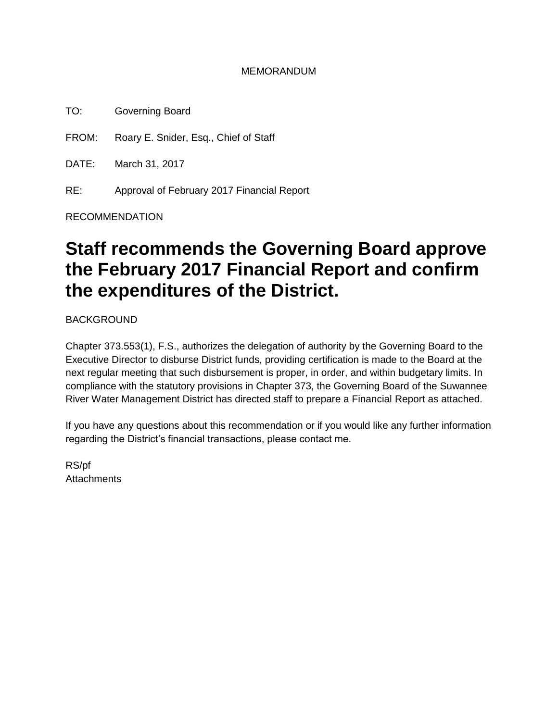#### MEMORANDUM

TO: Governing Board

FROM: Roary E. Snider, Esq., Chief of Staff

DATE: March 31, 2017

RE: Approval of February 2017 Financial Report

RECOMMENDATION

# **Staff recommends the Governing Board approve the February 2017 Financial Report and confirm the expenditures of the District.**

BACKGROUND

Chapter 373.553(1), F.S., authorizes the delegation of authority by the Governing Board to the Executive Director to disburse District funds, providing certification is made to the Board at the next regular meeting that such disbursement is proper, in order, and within budgetary limits. In compliance with the statutory provisions in Chapter 373, the Governing Board of the Suwannee River Water Management District has directed staff to prepare a Financial Report as attached.

If you have any questions about this recommendation or if you would like any further information regarding the District's financial transactions, please contact me.

RS/pf **Attachments**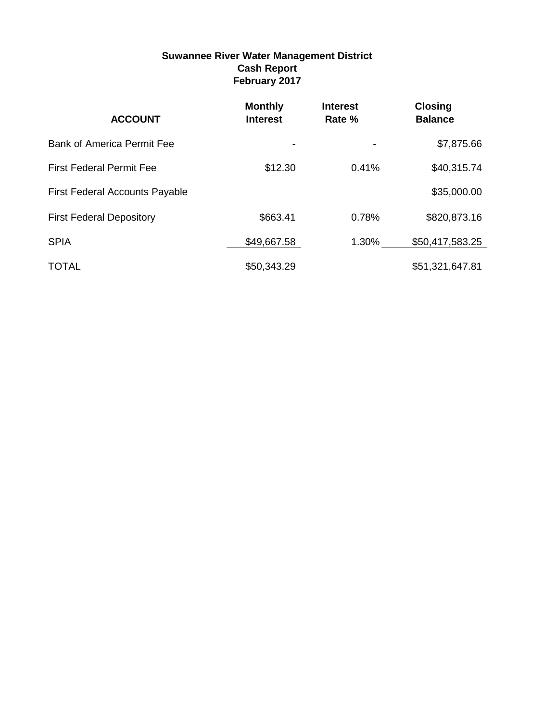#### **Suwannee River Water Management District Cash Report February 2017**

| <b>ACCOUNT</b>                        | <b>Monthly</b><br><b>Interest</b> | <b>Interest</b><br>Rate % | <b>Closing</b><br><b>Balance</b> |
|---------------------------------------|-----------------------------------|---------------------------|----------------------------------|
| <b>Bank of America Permit Fee</b>     |                                   |                           | \$7,875.66                       |
| <b>First Federal Permit Fee</b>       | \$12.30                           | 0.41%                     | \$40,315.74                      |
| <b>First Federal Accounts Payable</b> |                                   |                           | \$35,000.00                      |
| <b>First Federal Depository</b>       | \$663.41                          | 0.78%                     | \$820,873.16                     |
| <b>SPIA</b>                           | \$49,667.58                       | 1.30%                     | \$50,417,583.25                  |
| <b>TOTAL</b>                          | \$50,343.29                       |                           | \$51,321,647.81                  |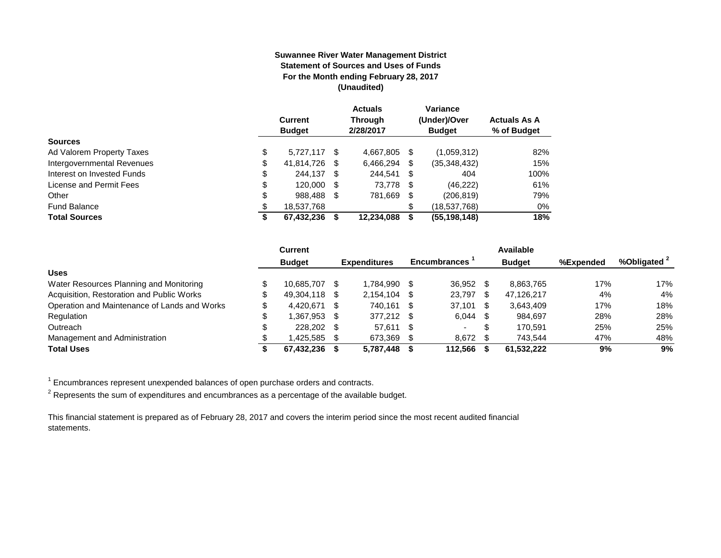#### **Suwannee River Water Management District Statement of Sources and Uses of Funds For the Month ending February 28, 2017 (Unaudited)**

|                            | <b>Current</b><br><b>Budget</b> |    | <b>Actuals</b><br><b>Through</b><br>2/28/2017 |    | Variance<br>(Under)/Over<br><b>Budget</b> | <b>Actuals As A</b><br>% of Budget |
|----------------------------|---------------------------------|----|-----------------------------------------------|----|-------------------------------------------|------------------------------------|
| <b>Sources</b>             |                                 |    |                                               |    |                                           |                                    |
| Ad Valorem Property Taxes  | \$<br>5.727.117                 | -S | 4.667.805                                     | \$ | (1,059,312)                               | 82%                                |
| Intergovernmental Revenues | \$<br>41,814,726                | S  | 6,466,294                                     | \$ | (35,348,432)                              | 15%                                |
| Interest on Invested Funds | \$<br>244.137 \$                |    | 244.541 \$                                    |    | 404                                       | 100%                               |
| License and Permit Fees    | \$<br>120,000                   |    | 73,778 \$                                     |    | (46, 222)                                 | 61%                                |
| Other                      | \$<br>988,488                   | S  | 781,669                                       | S. | (206, 819)                                | 79%                                |
| <b>Fund Balance</b>        | \$<br>18,537,768                |    |                                               | \$ | (18,537,768)                              | 0%                                 |
| <b>Total Sources</b>       | \$<br>67,432,236                |    | 12,234,088                                    | S  | (55, 198, 148)                            | 18%                                |

|                                              | <b>Current</b> |      |                     |      |                     |      | Available     |           |                         |
|----------------------------------------------|----------------|------|---------------------|------|---------------------|------|---------------|-----------|-------------------------|
|                                              | <b>Budget</b>  |      | <b>Expenditures</b> |      | <b>Encumbrances</b> |      | <b>Budget</b> | %Expended | %Obligated <sup>2</sup> |
| <b>Uses</b>                                  |                |      |                     |      |                     |      |               |           |                         |
| Water Resources Planning and Monitoring      | 10.685.707     |      | 1.784.990           | - \$ | 36.952              |      | 8.863.765     | 17%       | 17%                     |
| Acquisition, Restoration and Public Works    | 49.304.118 \$  |      | 2.154.104           | - \$ | 23,797              | -S   | 47.126.217    | 4%        | 4%                      |
| Operation and Maintenance of Lands and Works | 4.420.671      | - \$ | 740.161             | - \$ | 37,101              | - \$ | 3.643.409     | 17%       | 18%                     |
| Regulation                                   | 1.367.953 \$   |      | 377.212 \$          |      | 6.044               | - SS | 984.697       | 28%       | 28%                     |
| Outreach                                     | 228,202 \$     |      | 57.611              | - \$ | $\sim$              | £    | 170.591       | 25%       | 25%                     |
| Management and Administration                | 1,425,585 \$   |      | 673,369             |      | 8,672 \$            |      | 743.544       | 47%       | 48%                     |
| <b>Total Uses</b>                            | 67.432.236     |      | 5.787.448           |      | 112.566             |      | 61.532.222    | 9%        | 9%                      |

 $1$  Encumbrances represent unexpended balances of open purchase orders and contracts.

 $^2$  Represents the sum of expenditures and encumbrances as a percentage of the available budget.

This financial statement is prepared as of February 28, 2017 and covers the interim period since the most recent audited financial statements.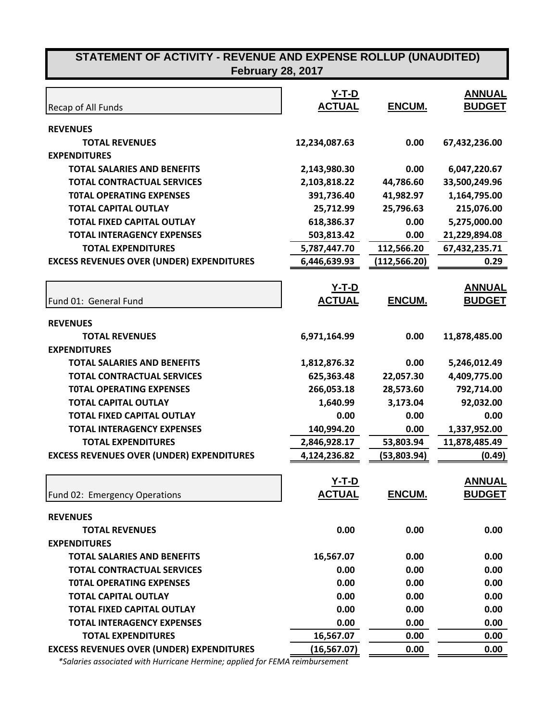#### Recap of All Funds **Y-T-D ACTUAL ENCUM. ANNUAL BUDGET REVENUES TOTAL REVENUES 12,234,087.63 0.00 67,432,236.00 EXPENDITURES TOTAL SALARIES AND BENEFITS 2,143,980.30 0.00 6,047,220.67 TOTAL CONTRACTUAL SERVICES 2,103,818.22 44,786.60 33,500,249.96 T0TAL OPERATING EXPENSES 391,736.40 41,982.97 1,164,795.00 TOTAL CAPITAL OUTLAY 25,712.99 25,796.63 215,076.00 TOTAL FIXED CAPITAL OUTLAY 618,386.37 0.00 5,275,000.00 TOTAL INTERAGENCY EXPENSES 503,813.42 0.00 21,229,894.08 TOTAL EXPENDITURES 5,787,447.70 112,566.20 67,432,235.71 EXCESS REVENUES OVER (UNDER) EXPENDITURES 6,446,639.93 (112,566.20) 0.29** Fund 01: General Fund **Y-T-D ACTUAL ENCUM. ANNUAL BUDGET REVENUES TOTAL REVENUES 6,971,164.99 0.00 11,878,485.00 EXPENDITURES TOTAL SALARIES AND BENEFITS 1,812,876.32 0.00 5,246,012.49 TOTAL CONTRACTUAL SERVICES 625,363.48 22,057.30 4,409,775.00 T0TAL OPERATING EXPENSES 266,053.18 28,573.60 792,714.00 TOTAL CAPITAL OUTLAY 1,640.99 3,173.04 92,032.00 TOTAL FIXED CAPITAL OUTLAY 0.00 0.00 0.00 TOTAL INTERAGENCY EXPENSES 140,994.20 0.00 1,337,952.00 TOTAL EXPENDITURES 2,846,928.17 53,803.94 11,878,485.49 EXCESS REVENUES OVER (UNDER) EXPENDITURES 4,124,236.82 (53,803.94) (0.49)** Fund 02: Emergency Operations **Y-T-D ACTUAL ENCUM. ANNUAL BUDGET REVENUES TOTAL REVENUES 0.00 0.00 0.00 EXPENDITURES TOTAL SALARIES AND BENEFITS 16,567.07 0.00 0.00 TOTAL CONTRACTUAL SERVICES 0.00 0.00 0.00 T0TAL OPERATING EXPENSES 0.00 0.00 0.00 TOTAL CAPITAL OUTLAY 0.00 0.00 0.00 TOTAL FIXED CAPITAL OUTLAY 0.00 0.00 0.00 STATEMENT OF ACTIVITY - REVENUE AND EXPENSE ROLLUP (UNAUDITED) February 28, 2017**

**TOTAL INTERAGENCY EXPENSES 0.00 0.00 0.00 TOTAL EXPENDITURES 16,567.07 0.00 0.00 EXCESS REVENUES OVER (UNDER) EXPENDITURES (16,567.07) 0.00 0.00**  *\*Salaries associated with Hurricane Hermine; applied for FEMA reimbursement*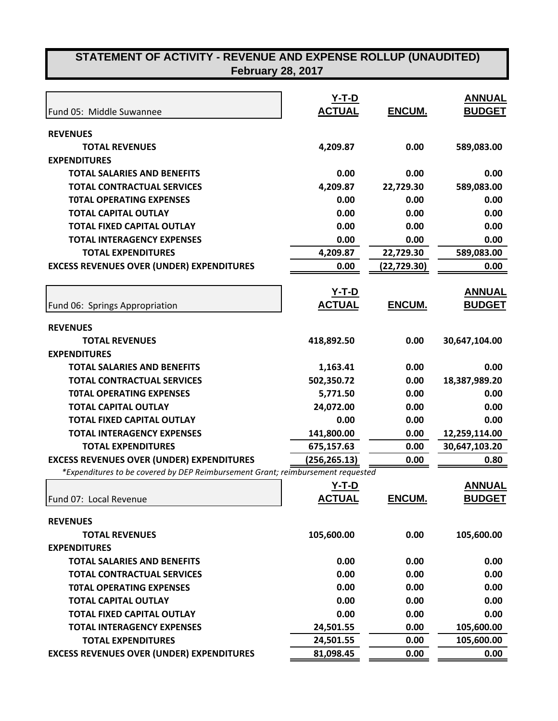| Fund 05: Middle Suwannee                                                        | <u>Y-T-D</u><br><b>ACTUAL</b> | ENCUM.            | <b>ANNUAL</b><br><b>BUDGET</b> |
|---------------------------------------------------------------------------------|-------------------------------|-------------------|--------------------------------|
| <b>REVENUES</b>                                                                 |                               |                   |                                |
| <b>TOTAL REVENUES</b>                                                           | 4,209.87                      | 0.00              | 589,083.00                     |
| <b>EXPENDITURES</b>                                                             |                               |                   |                                |
|                                                                                 |                               |                   |                                |
| <b>TOTAL SALARIES AND BENEFITS</b><br><b>TOTAL CONTRACTUAL SERVICES</b>         | 0.00<br>4,209.87              | 0.00<br>22,729.30 | 0.00<br>589,083.00             |
| <b>TOTAL OPERATING EXPENSES</b>                                                 | 0.00                          |                   |                                |
|                                                                                 |                               | 0.00              | 0.00                           |
| <b>TOTAL CAPITAL OUTLAY</b>                                                     | 0.00                          | 0.00              | 0.00                           |
| <b>TOTAL FIXED CAPITAL OUTLAY</b>                                               | 0.00                          | 0.00              | 0.00                           |
| <b>TOTAL INTERAGENCY EXPENSES</b>                                               | 0.00                          | 0.00              | 0.00                           |
| <b>TOTAL EXPENDITURES</b>                                                       | 4,209.87                      | 22,729.30         | 589,083.00                     |
| <b>EXCESS REVENUES OVER (UNDER) EXPENDITURES</b>                                | 0.00                          | (22, 729.30)      | 0.00                           |
|                                                                                 | <u>Y-T-D</u>                  |                   | <b>ANNUAL</b>                  |
| Fund 06: Springs Appropriation                                                  | <b>ACTUAL</b>                 | ENCUM.            | <b>BUDGET</b>                  |
| <b>REVENUES</b>                                                                 |                               |                   |                                |
| <b>TOTAL REVENUES</b>                                                           | 418,892.50                    | 0.00              | 30,647,104.00                  |
| <b>EXPENDITURES</b>                                                             |                               |                   |                                |
| <b>TOTAL SALARIES AND BENEFITS</b>                                              | 1,163.41                      | 0.00              | 0.00                           |
| <b>TOTAL CONTRACTUAL SERVICES</b>                                               | 502,350.72                    | 0.00              | 18,387,989.20                  |
| <b>TOTAL OPERATING EXPENSES</b>                                                 | 5,771.50                      | 0.00              | 0.00                           |
| <b>TOTAL CAPITAL OUTLAY</b>                                                     | 24,072.00                     | 0.00              | 0.00                           |
| <b>TOTAL FIXED CAPITAL OUTLAY</b>                                               | 0.00                          | 0.00              | 0.00                           |
| <b>TOTAL INTERAGENCY EXPENSES</b>                                               | 141,800.00                    | 0.00              | 12,259,114.00                  |
| <b>TOTAL EXPENDITURES</b>                                                       | 675,157.63                    | 0.00              | 30,647,103.20                  |
| <b>EXCESS REVENUES OVER (UNDER) EXPENDITURES</b>                                | (256, 265.13)                 | 0.00              | 0.80                           |
| *Expenditures to be covered by DEP Reimbursement Grant; reimbursement requested |                               |                   |                                |
|                                                                                 | <u>Y-T-D</u>                  |                   | <b>ANNUAL</b>                  |
| Fund 07: Local Revenue                                                          | <b>ACTUAL</b>                 | ENCUM.            | <b>BUDGET</b>                  |
| <b>REVENUES</b>                                                                 |                               |                   |                                |
| <b>TOTAL REVENUES</b>                                                           | 105,600.00                    | 0.00              | 105,600.00                     |
| <b>EXPENDITURES</b>                                                             |                               |                   |                                |
| <b>TOTAL SALARIES AND BENEFITS</b>                                              | 0.00                          | 0.00              | 0.00                           |
| <b>TOTAL CONTRACTUAL SERVICES</b>                                               | 0.00                          | 0.00              | 0.00                           |
| <b>TOTAL OPERATING EXPENSES</b>                                                 | 0.00                          | 0.00              | 0.00                           |
| <b>TOTAL CAPITAL OUTLAY</b>                                                     | 0.00                          | 0.00              | 0.00                           |
| <b>TOTAL FIXED CAPITAL OUTLAY</b>                                               | 0.00                          | 0.00              | 0.00                           |
| <b>TOTAL INTERAGENCY EXPENSES</b>                                               | 24,501.55                     | 0.00              | 105,600.00                     |
| <b>TOTAL EXPENDITURES</b>                                                       | 24,501.55                     | 0.00              | 105,600.00                     |
| <b>EXCESS REVENUES OVER (UNDER) EXPENDITURES</b>                                | 81,098.45                     | 0.00              | 0.00                           |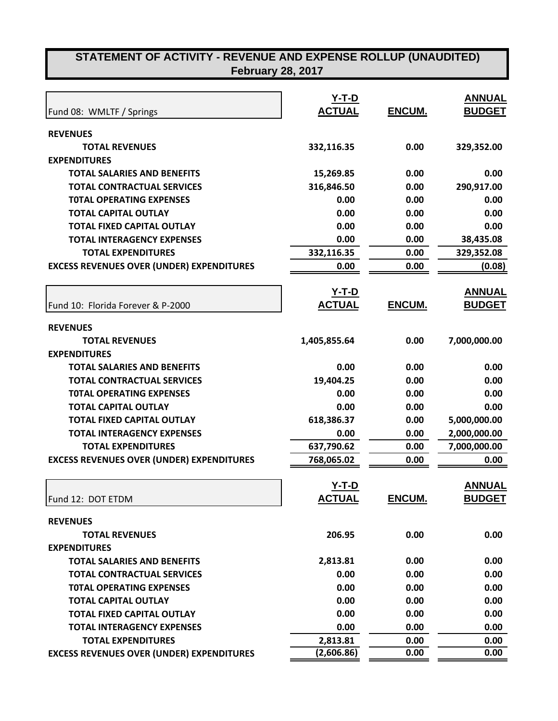|                                                  | <u>Y-T-D</u>  |               | <b>ANNUAL</b> |
|--------------------------------------------------|---------------|---------------|---------------|
| Fund 08: WMLTF / Springs                         | <b>ACTUAL</b> | ENCUM.        | <b>BUDGET</b> |
| <b>REVENUES</b>                                  |               |               |               |
| <b>TOTAL REVENUES</b>                            | 332,116.35    | 0.00          | 329,352.00    |
| <b>EXPENDITURES</b>                              |               |               |               |
| <b>TOTAL SALARIES AND BENEFITS</b>               | 15,269.85     | 0.00          | 0.00          |
| <b>TOTAL CONTRACTUAL SERVICES</b>                | 316,846.50    | 0.00          | 290,917.00    |
| <b>TOTAL OPERATING EXPENSES</b>                  | 0.00          | 0.00          | 0.00          |
| <b>TOTAL CAPITAL OUTLAY</b>                      | 0.00          | 0.00          | 0.00          |
| <b>TOTAL FIXED CAPITAL OUTLAY</b>                | 0.00          | 0.00          | 0.00          |
| <b>TOTAL INTERAGENCY EXPENSES</b>                | 0.00          | 0.00          | 38,435.08     |
| <b>TOTAL EXPENDITURES</b>                        | 332,116.35    | 0.00          | 329,352.08    |
| <b>EXCESS REVENUES OVER (UNDER) EXPENDITURES</b> | 0.00          | 0.00          | (0.08)        |
|                                                  | <u>Y-T-D</u>  |               | <b>ANNUAL</b> |
| Fund 10: Florida Forever & P-2000                | <b>ACTUAL</b> | ENCUM.        | <b>BUDGET</b> |
| <b>REVENUES</b>                                  |               |               |               |
| <b>TOTAL REVENUES</b>                            | 1,405,855.64  | 0.00          | 7,000,000.00  |
| <b>EXPENDITURES</b>                              |               |               |               |
| <b>TOTAL SALARIES AND BENEFITS</b>               | 0.00          | 0.00          | 0.00          |
| <b>TOTAL CONTRACTUAL SERVICES</b>                | 19,404.25     | 0.00          | 0.00          |
| <b>TOTAL OPERATING EXPENSES</b>                  | 0.00          | 0.00          | 0.00          |
| <b>TOTAL CAPITAL OUTLAY</b>                      | 0.00          | 0.00          | 0.00          |
| <b>TOTAL FIXED CAPITAL OUTLAY</b>                | 618,386.37    | 0.00          | 5,000,000.00  |
| <b>TOTAL INTERAGENCY EXPENSES</b>                | 0.00          | 0.00          | 2,000,000.00  |
| <b>TOTAL EXPENDITURES</b>                        | 637,790.62    | 0.00          | 7,000,000.00  |
| <b>EXCESS REVENUES OVER (UNDER) EXPENDITURES</b> | 768,065.02    | 0.00          | 0.00          |
|                                                  | Y-T-D         |               | <b>ANNUAL</b> |
| Fund 12: DOT ETDM                                | <u>ACTUAL</u> | <u>ENCUM.</u> | <b>BUDGET</b> |
| <b>REVENUES</b>                                  |               |               |               |
| <b>TOTAL REVENUES</b>                            | 206.95        | 0.00          | 0.00          |
| <b>EXPENDITURES</b>                              |               |               |               |
| <b>TOTAL SALARIES AND BENEFITS</b>               | 2,813.81      | 0.00          | 0.00          |
| <b>TOTAL CONTRACTUAL SERVICES</b>                | 0.00          | 0.00          | 0.00          |
| <b>TOTAL OPERATING EXPENSES</b>                  | 0.00          | 0.00          | 0.00          |
| <b>TOTAL CAPITAL OUTLAY</b>                      | 0.00          | 0.00          | 0.00          |
| <b>TOTAL FIXED CAPITAL OUTLAY</b>                | 0.00          | 0.00          | 0.00          |
| <b>TOTAL INTERAGENCY EXPENSES</b>                | 0.00          | 0.00          | 0.00          |
| <b>TOTAL EXPENDITURES</b>                        | 2,813.81      | 0.00          | 0.00          |
| <b>EXCESS REVENUES OVER (UNDER) EXPENDITURES</b> | (2,606.86)    | 0.00          | 0.00          |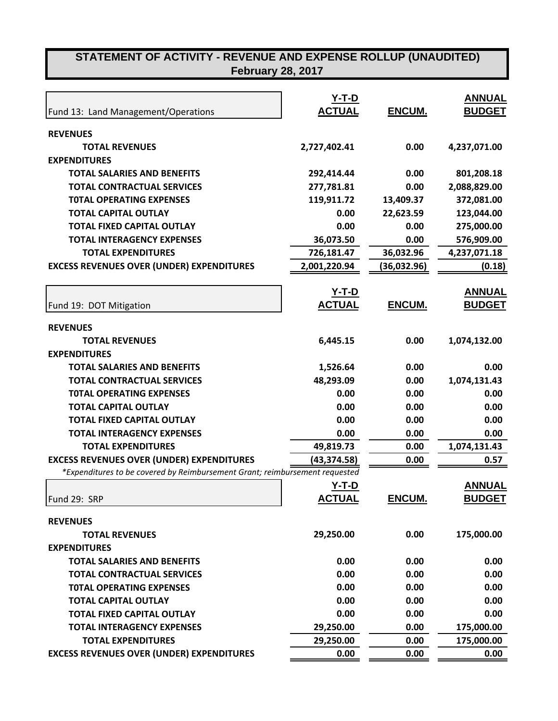| Fund 13: Land Management/Operations                                         | $Y-T-D$<br><b>ACTUAL</b> | <b>ENCUM.</b> | <b>ANNUAL</b><br><b>BUDGET</b> |
|-----------------------------------------------------------------------------|--------------------------|---------------|--------------------------------|
| <b>REVENUES</b>                                                             |                          |               |                                |
| <b>TOTAL REVENUES</b>                                                       | 2,727,402.41             | 0.00          | 4,237,071.00                   |
| <b>EXPENDITURES</b>                                                         |                          |               |                                |
| <b>TOTAL SALARIES AND BENEFITS</b>                                          | 292,414.44               | 0.00          | 801,208.18                     |
| <b>TOTAL CONTRACTUAL SERVICES</b>                                           | 277,781.81               | 0.00          | 2,088,829.00                   |
| <b>TOTAL OPERATING EXPENSES</b>                                             | 119,911.72               | 13,409.37     | 372,081.00                     |
| <b>TOTAL CAPITAL OUTLAY</b>                                                 | 0.00                     | 22,623.59     | 123,044.00                     |
| <b>TOTAL FIXED CAPITAL OUTLAY</b>                                           | 0.00                     | 0.00          | 275,000.00                     |
| <b>TOTAL INTERAGENCY EXPENSES</b>                                           | 36,073.50                | 0.00          | 576,909.00                     |
| <b>TOTAL EXPENDITURES</b>                                                   | 726,181.47               | 36,032.96     | 4,237,071.18                   |
| <b>EXCESS REVENUES OVER (UNDER) EXPENDITURES</b>                            | 2,001,220.94             | (36,032.96)   | (0.18)                         |
|                                                                             | $Y-T-D$                  |               | <b>ANNUAL</b>                  |
| Fund 19: DOT Mitigation                                                     | <b>ACTUAL</b>            | ENCUM.        | <b>BUDGET</b>                  |
| <b>REVENUES</b>                                                             |                          |               |                                |
| <b>TOTAL REVENUES</b>                                                       | 6,445.15                 | 0.00          | 1,074,132.00                   |
| <b>EXPENDITURES</b>                                                         |                          |               |                                |
| <b>TOTAL SALARIES AND BENEFITS</b>                                          | 1,526.64                 | 0.00          | 0.00                           |
| <b>TOTAL CONTRACTUAL SERVICES</b>                                           | 48,293.09                | 0.00          | 1,074,131.43                   |
| <b>TOTAL OPERATING EXPENSES</b>                                             | 0.00                     | 0.00          | 0.00                           |
| <b>TOTAL CAPITAL OUTLAY</b>                                                 | 0.00                     | 0.00          | 0.00                           |
| <b>TOTAL FIXED CAPITAL OUTLAY</b>                                           | 0.00                     | 0.00          | 0.00                           |
| <b>TOTAL INTERAGENCY EXPENSES</b>                                           | 0.00                     | 0.00          | 0.00                           |
| <b>TOTAL EXPENDITURES</b>                                                   | 49,819.73                | 0.00          | 1,074,131.43                   |
| <b>EXCESS REVENUES OVER (UNDER) EXPENDITURES</b>                            | (43,374.58)              | 0.00          | 0.57                           |
| *Expenditures to be covered by Reimbursement Grant; reimbursement requested |                          |               |                                |
|                                                                             | Y-T-D                    |               | <b>ANNUAL</b>                  |
| Fund 29: SRP                                                                | <b>ACTUAL</b>            | ENCUM.        | <b>BUDGET</b>                  |
| <b>REVENUES</b>                                                             |                          |               |                                |
| <b>TOTAL REVENUES</b>                                                       | 29,250.00                | 0.00          | 175,000.00                     |
| <b>EXPENDITURES</b>                                                         |                          |               |                                |
| <b>TOTAL SALARIES AND BENEFITS</b>                                          | 0.00                     | 0.00          | 0.00                           |
| <b>TOTAL CONTRACTUAL SERVICES</b>                                           | 0.00                     | 0.00          | 0.00                           |
| <b>TOTAL OPERATING EXPENSES</b>                                             | 0.00                     | 0.00          | 0.00                           |
| <b>TOTAL CAPITAL OUTLAY</b>                                                 | 0.00                     | 0.00          | 0.00                           |
| <b>TOTAL FIXED CAPITAL OUTLAY</b>                                           | 0.00                     | 0.00          | 0.00                           |
| <b>TOTAL INTERAGENCY EXPENSES</b>                                           | 29,250.00                | 0.00          | 175,000.00                     |
| <b>TOTAL EXPENDITURES</b>                                                   | 29,250.00                | 0.00          | 175,000.00                     |
| <b>EXCESS REVENUES OVER (UNDER) EXPENDITURES</b>                            | 0.00                     | 0.00          | 0.00                           |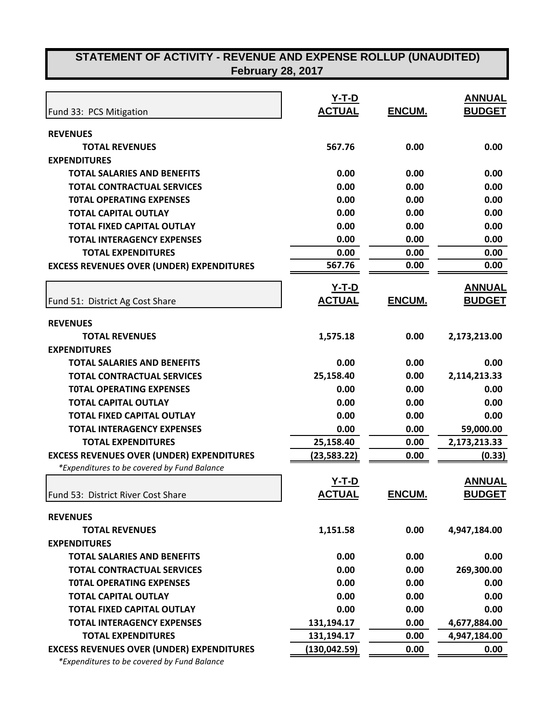| <b>February 28, 2017</b> |  |  |
|--------------------------|--|--|
|--------------------------|--|--|

|                                                  | $Y-T-D$       |               | <b>ANNUAL</b> |
|--------------------------------------------------|---------------|---------------|---------------|
| Fund 33: PCS Mitigation                          | <b>ACTUAL</b> | ENCUM.        | <b>BUDGET</b> |
| <b>REVENUES</b>                                  |               |               |               |
| <b>TOTAL REVENUES</b>                            | 567.76        | 0.00          | 0.00          |
| <b>EXPENDITURES</b>                              |               |               |               |
| <b>TOTAL SALARIES AND BENEFITS</b>               | 0.00          | 0.00          | 0.00          |
| <b>TOTAL CONTRACTUAL SERVICES</b>                | 0.00          | 0.00          | 0.00          |
| <b>TOTAL OPERATING EXPENSES</b>                  | 0.00          | 0.00          | 0.00          |
| <b>TOTAL CAPITAL OUTLAY</b>                      | 0.00          | 0.00          | 0.00          |
| <b>TOTAL FIXED CAPITAL OUTLAY</b>                | 0.00          | 0.00          | 0.00          |
| <b>TOTAL INTERAGENCY EXPENSES</b>                | 0.00          | 0.00          | 0.00          |
| <b>TOTAL EXPENDITURES</b>                        | 0.00          | 0.00          | 0.00          |
| <b>EXCESS REVENUES OVER (UNDER) EXPENDITURES</b> | 567.76        | 0.00          | 0.00          |
|                                                  | <u>Y-T-D</u>  |               | <b>ANNUAL</b> |
| Fund 51: District Ag Cost Share                  | <b>ACTUAL</b> | <b>ENCUM.</b> | <b>BUDGET</b> |
| <b>REVENUES</b>                                  |               |               |               |
| <b>TOTAL REVENUES</b>                            | 1,575.18      | 0.00          | 2,173,213.00  |
| <b>EXPENDITURES</b>                              |               |               |               |
| <b>TOTAL SALARIES AND BENEFITS</b>               | 0.00          | 0.00          | 0.00          |
| <b>TOTAL CONTRACTUAL SERVICES</b>                | 25,158.40     | 0.00          | 2,114,213.33  |
| <b>TOTAL OPERATING EXPENSES</b>                  | 0.00          | 0.00          | 0.00          |
| <b>TOTAL CAPITAL OUTLAY</b>                      | 0.00          | 0.00          | 0.00          |
| <b>TOTAL FIXED CAPITAL OUTLAY</b>                | 0.00          | 0.00          | 0.00          |
| <b>TOTAL INTERAGENCY EXPENSES</b>                | 0.00          | 0.00          | 59,000.00     |
| <b>TOTAL EXPENDITURES</b>                        | 25,158.40     | 0.00          | 2,173,213.33  |
| <b>EXCESS REVENUES OVER (UNDER) EXPENDITURES</b> | (23, 583.22)  | 0.00          | (0.33)        |
| *Expenditures to be covered by Fund Balance      |               |               |               |
|                                                  | <u>Y-T-D</u>  |               | <b>ANNUAL</b> |
| Fund 53: District River Cost Share               | <b>ACTUAL</b> | <b>ENCUM.</b> | <b>BUDGET</b> |
| <b>REVENUES</b>                                  |               |               |               |
| <b>TOTAL REVENUES</b>                            | 1,151.58      | 0.00          | 4,947,184.00  |
| <b>EXPENDITURES</b>                              |               |               |               |
| <b>TOTAL SALARIES AND BENEFITS</b>               | 0.00          | 0.00          | 0.00          |
| <b>TOTAL CONTRACTUAL SERVICES</b>                | 0.00          | 0.00          | 269,300.00    |
| <b>TOTAL OPERATING EXPENSES</b>                  | 0.00          | 0.00          | 0.00          |
| <b>TOTAL CAPITAL OUTLAY</b>                      | 0.00          | 0.00          | 0.00          |
| <b>TOTAL FIXED CAPITAL OUTLAY</b>                | 0.00          | 0.00          | 0.00          |
| <b>TOTAL INTERAGENCY EXPENSES</b>                | 131,194.17    | 0.00          | 4,677,884.00  |
| <b>TOTAL EXPENDITURES</b>                        | 131,194.17    | 0.00          | 4,947,184.00  |
| <b>EXCESS REVENUES OVER (UNDER) EXPENDITURES</b> | (130, 042.59) | 0.00          | 0.00          |
| $*Evnonditures to be covered by Eund Palanca$    |               |               |               |

 *\*Expenditures to be covered by Fund Balance*